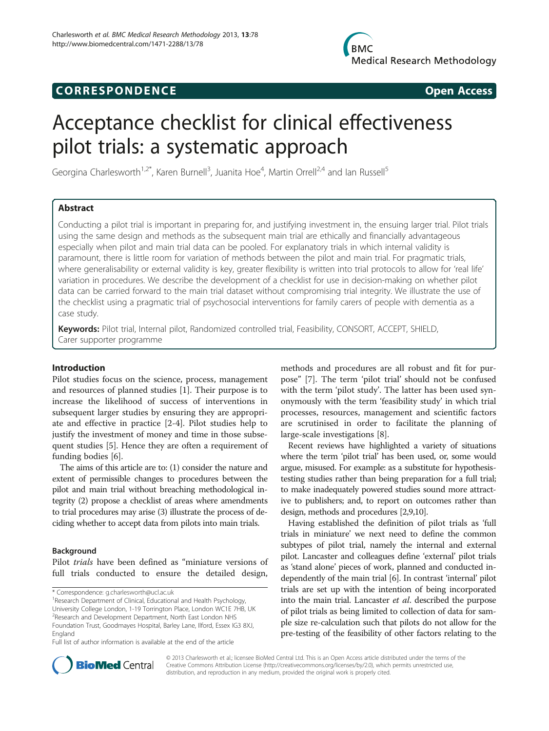# **CORRESPONDENCE CORRESPONDENCE** *CORRESPONDENCE*

# Acceptance checklist for clinical effectiveness pilot trials: a systematic approach

Georgina Charlesworth<sup>1,2\*</sup>, Karen Burnell<sup>3</sup>, Juanita Hoe<sup>4</sup>, Martin Orrell<sup>2,4</sup> and Ian Russell<sup>5</sup>

# Abstract

Conducting a pilot trial is important in preparing for, and justifying investment in, the ensuing larger trial. Pilot trials using the same design and methods as the subsequent main trial are ethically and financially advantageous especially when pilot and main trial data can be pooled. For explanatory trials in which internal validity is paramount, there is little room for variation of methods between the pilot and main trial. For pragmatic trials, where generalisability or external validity is key, greater flexibility is written into trial protocols to allow for 'real life' variation in procedures. We describe the development of a checklist for use in decision-making on whether pilot data can be carried forward to the main trial dataset without compromising trial integrity. We illustrate the use of the checklist using a pragmatic trial of psychosocial interventions for family carers of people with dementia as a case study.

Keywords: Pilot trial, Internal pilot, Randomized controlled trial, Feasibility, CONSORT, ACCEPT, SHIELD, Carer supporter programme

# Introduction

Pilot studies focus on the science, process, management and resources of planned studies [[1\]](#page-6-0). Their purpose is to increase the likelihood of success of interventions in subsequent larger studies by ensuring they are appropriate and effective in practice [[2-4](#page-6-0)]. Pilot studies help to justify the investment of money and time in those subsequent studies [\[5](#page-6-0)]. Hence they are often a requirement of funding bodies [\[6](#page-6-0)].

The aims of this article are to: (1) consider the nature and extent of permissible changes to procedures between the pilot and main trial without breaching methodological integrity (2) propose a checklist of areas where amendments to trial procedures may arise (3) illustrate the process of deciding whether to accept data from pilots into main trials.

# Background

Pilot trials have been defined as "miniature versions of full trials conducted to ensure the detailed design,

\* Correspondence: [g.charlesworth@ucl.ac.uk](mailto:g.charlesworth@ucl.ac.uk) <sup>1</sup>

<sup>1</sup> Research Department of Clinical, Educational and Health Psychology, University College London, 1-19 Torrington Place, London WC1E 7HB, UK <sup>2</sup>Research and Development Department, North East London NHS Foundation Trust, Goodmayes Hospital, Barley Lane, Ilford, Essex IG3 8XJ, England

Full list of author information is available at the end of the article

methods and procedures are all robust and fit for purpose" [\[7](#page-6-0)]. The term 'pilot trial' should not be confused with the term 'pilot study'. The latter has been used synonymously with the term 'feasibility study' in which trial processes, resources, management and scientific factors are scrutinised in order to facilitate the planning of large-scale investigations [\[8](#page-6-0)].

Recent reviews have highlighted a variety of situations where the term 'pilot trial' has been used, or, some would argue, misused. For example: as a substitute for hypothesistesting studies rather than being preparation for a full trial; to make inadequately powered studies sound more attractive to publishers; and, to report on outcomes rather than design, methods and procedures [[2,9,10\]](#page-6-0).

Having established the definition of pilot trials as 'full trials in miniature' we next need to define the common subtypes of pilot trial, namely the internal and external pilot. Lancaster and colleagues define 'external' pilot trials as 'stand alone' pieces of work, planned and conducted independently of the main trial [\[6](#page-6-0)]. In contrast 'internal' pilot trials are set up with the intention of being incorporated into the main trial. Lancaster et al. described the purpose of pilot trials as being limited to collection of data for sample size re-calculation such that pilots do not allow for the pre-testing of the feasibility of other factors relating to the



© 2013 Charlesworth et al.; licensee BioMed Central Ltd. This is an Open Access article distributed under the terms of the Creative Commons Attribution License (<http://creativecommons.org/licenses/by/2.0>), which permits unrestricted use, distribution, and reproduction in any medium, provided the original work is properly cited.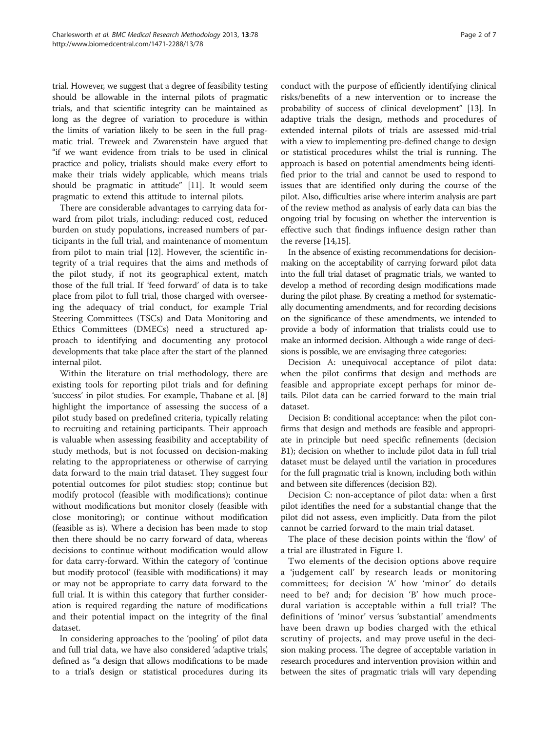trial. However, we suggest that a degree of feasibility testing should be allowable in the internal pilots of pragmatic trials, and that scientific integrity can be maintained as long as the degree of variation to procedure is within the limits of variation likely to be seen in the full pragmatic trial. Treweek and Zwarenstein have argued that "if we want evidence from trials to be used in clinical practice and policy, trialists should make every effort to make their trials widely applicable, which means trials should be pragmatic in attitude" [[11](#page-6-0)]. It would seem pragmatic to extend this attitude to internal pilots.

There are considerable advantages to carrying data forward from pilot trials, including: reduced cost, reduced burden on study populations, increased numbers of participants in the full trial, and maintenance of momentum from pilot to main trial [\[12\]](#page-6-0). However, the scientific integrity of a trial requires that the aims and methods of the pilot study, if not its geographical extent, match those of the full trial. If 'feed forward' of data is to take place from pilot to full trial, those charged with overseeing the adequacy of trial conduct, for example Trial Steering Committees (TSCs) and Data Monitoring and Ethics Committees (DMECs) need a structured approach to identifying and documenting any protocol developments that take place after the start of the planned internal pilot.

Within the literature on trial methodology, there are existing tools for reporting pilot trials and for defining 'success' in pilot studies. For example, Thabane et al. [\[8](#page-6-0)] highlight the importance of assessing the success of a pilot study based on predefined criteria, typically relating to recruiting and retaining participants. Their approach is valuable when assessing feasibility and acceptability of study methods, but is not focussed on decision-making relating to the appropriateness or otherwise of carrying data forward to the main trial dataset. They suggest four potential outcomes for pilot studies: stop; continue but modify protocol (feasible with modifications); continue without modifications but monitor closely (feasible with close monitoring); or continue without modification (feasible as is). Where a decision has been made to stop then there should be no carry forward of data, whereas decisions to continue without modification would allow for data carry-forward. Within the category of 'continue but modify protocol' (feasible with modifications) it may or may not be appropriate to carry data forward to the full trial. It is within this category that further consideration is required regarding the nature of modifications and their potential impact on the integrity of the final dataset.

In considering approaches to the 'pooling' of pilot data and full trial data, we have also considered 'adaptive trials', defined as "a design that allows modifications to be made to a trial's design or statistical procedures during its conduct with the purpose of efficiently identifying clinical risks/benefits of a new intervention or to increase the probability of success of clinical development" [\[13\]](#page-6-0). In adaptive trials the design, methods and procedures of extended internal pilots of trials are assessed mid-trial with a view to implementing pre-defined change to design or statistical procedures whilst the trial is running. The approach is based on potential amendments being identified prior to the trial and cannot be used to respond to issues that are identified only during the course of the pilot. Also, difficulties arise where interim analysis are part of the review method as analysis of early data can bias the ongoing trial by focusing on whether the intervention is effective such that findings influence design rather than the reverse [\[14,15](#page-6-0)].

In the absence of existing recommendations for decisionmaking on the acceptability of carrying forward pilot data into the full trial dataset of pragmatic trials, we wanted to develop a method of recording design modifications made during the pilot phase. By creating a method for systematically documenting amendments, and for recording decisions on the significance of these amendments, we intended to provide a body of information that trialists could use to make an informed decision. Although a wide range of decisions is possible, we are envisaging three categories:

Decision A: unequivocal acceptance of pilot data: when the pilot confirms that design and methods are feasible and appropriate except perhaps for minor details. Pilot data can be carried forward to the main trial dataset.

Decision B: conditional acceptance: when the pilot confirms that design and methods are feasible and appropriate in principle but need specific refinements (decision B1); decision on whether to include pilot data in full trial dataset must be delayed until the variation in procedures for the full pragmatic trial is known, including both within and between site differences (decision B2).

Decision C: non-acceptance of pilot data: when a first pilot identifies the need for a substantial change that the pilot did not assess, even implicitly. Data from the pilot cannot be carried forward to the main trial dataset.

The place of these decision points within the 'flow' of a trial are illustrated in Figure [1](#page-2-0).

Two elements of the decision options above require a 'judgement call' by research leads or monitoring committees; for decision 'A' how 'minor' do details need to be? and; for decision 'B' how much procedural variation is acceptable within a full trial? The definitions of 'minor' versus 'substantial' amendments have been drawn up bodies charged with the ethical scrutiny of projects, and may prove useful in the decision making process. The degree of acceptable variation in research procedures and intervention provision within and between the sites of pragmatic trials will vary depending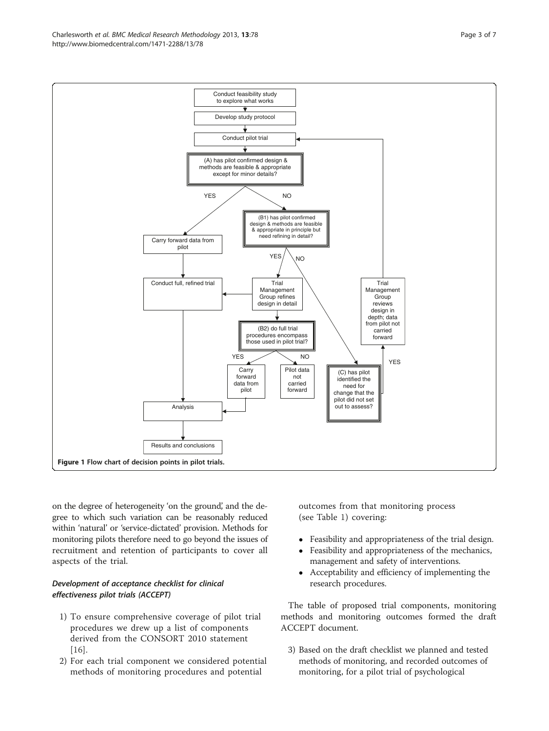<span id="page-2-0"></span>Charlesworth et al. BMC Medical Research Methodology 2013, 13:78 Page 3 of 7 http://www.biomedcentral.com/1471-2288/13/78



on the degree of heterogeneity 'on the ground', and the degree to which such variation can be reasonably reduced within 'natural' or 'service-dictated' provision. Methods for monitoring pilots therefore need to go beyond the issues of recruitment and retention of participants to cover all aspects of the trial.

# Development of acceptance checklist for clinical effectiveness pilot trials (ACCEPT)

- 1) To ensure comprehensive coverage of pilot trial procedures we drew up a list of components derived from the CONSORT 2010 statement [[16\]](#page-6-0).
- 2) For each trial component we considered potential methods of monitoring procedures and potential

outcomes from that monitoring process (see Table [1\)](#page-3-0) covering:

- Feasibility and appropriateness of the trial design.
- Feasibility and appropriateness of the mechanics, management and safety of interventions.
- Acceptability and efficiency of implementing the research procedures.

The table of proposed trial components, monitoring methods and monitoring outcomes formed the draft ACCEPT document.

3) Based on the draft checklist we planned and tested methods of monitoring, and recorded outcomes of monitoring, for a pilot trial of psychological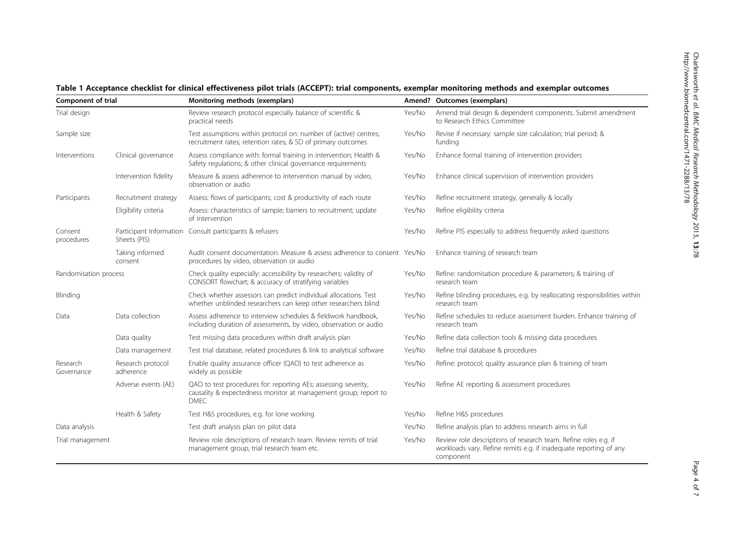| Component of trial     |                                | Monitoring methods (exemplars)                                                                                                                   |        | Amend? Outcomes (exemplars)                                                                                                                       |
|------------------------|--------------------------------|--------------------------------------------------------------------------------------------------------------------------------------------------|--------|---------------------------------------------------------------------------------------------------------------------------------------------------|
| Trial design           |                                | Review research protocol especially balance of scientific &<br>practical needs                                                                   | Yes/No | Amend trial design & dependent components. Submit amendment<br>to Research Ethics Committee                                                       |
| Sample size            |                                | Test assumptions within protocol on: number of (active) centres;<br>recruitment rates; retention rates; & SD of primary outcomes                 | Yes/No | Revise if necessary: sample size calculation; trial period; &<br>funding                                                                          |
| Interventions          | Clinical governance            | Assess compliance with: formal training in intervention; Health &<br>Safety regulations; & other clinical governance requirements                | Yes/No | Enhance formal training of intervention providers                                                                                                 |
|                        | Intervention fidelity          | Measure & assess adherence to intervention manual by video,<br>observation or audio                                                              | Yes/No | Enhance clinical supervision of intervention providers                                                                                            |
| Participants           | Recruitment strategy           | Assess: flows of participants; cost & productivity of each route                                                                                 | Yes/No | Refine recruitment strategy, generally & locally                                                                                                  |
|                        | Eligibility criteria           | Assess: characteristics of sample; barriers to recruitment; update<br>of intervention                                                            | Yes/No | Refine eligibility criteria                                                                                                                       |
| Consent<br>procedures  | Sheets (PIS)                   | Participant Information Consult participants & refusers                                                                                          | Yes/No | Refine PIS especially to address frequently asked questions                                                                                       |
|                        | Taking informed<br>consent     | Audit consent documentation. Measure & assess adherence to consent Yes/No<br>procedures by video, observation or audio                           |        | Enhance training of research team                                                                                                                 |
| Randomisation process  |                                | Check quality especially: accessibility by researchers; validity of<br>CONSORT flowchart; & accuracy of stratifying variables                    | Yes/No | Refine: randomisation procedure & parameters; & training of<br>research team                                                                      |
| Blinding               |                                | Check whether assessors can predict individual allocations. Test<br>whether unblinded researchers can keep other researchers blind               | Yes/No | Refine blinding procedures, e.g. by reallocating responsibilities within<br>research team                                                         |
| Data                   | Data collection                | Assess adherence to interview schedules & fieldwork handbook,<br>including duration of assessments, by video, observation or audio               | Yes/No | Refine schedules to reduce assessment burden. Enhance training of<br>research team                                                                |
|                        | Data quality                   | Test missing data procedures within draft analysis plan                                                                                          | Yes/No | Refine data collection tools & missing data procedures                                                                                            |
|                        | Data management                | Test trial database, related procedures & link to analytical software                                                                            | Yes/No | Refine trial database & procedures                                                                                                                |
| Research<br>Governance | Research protocol<br>adherence | Enable quality assurance officer (QAO) to test adherence as<br>widely as possible                                                                | Yes/No | Refine: protocol; quality assurance plan & training of team                                                                                       |
|                        | Adverse events (AE)            | QAO to test procedures for: reporting AEs; assessing severity,<br>causality & expectedness monitor at management group; report to<br><b>DMEC</b> | Yes/No | Refine AE reporting & assessment procedures                                                                                                       |
|                        | Health & Safety                | Test H&S procedures, e.g. for lone working                                                                                                       | Yes/No | Refine H&S procedures                                                                                                                             |
| Data analysis          |                                | Test draft analysis plan on pilot data                                                                                                           | Yes/No | Refine analysis plan to address research aims in full                                                                                             |
| Trial management       |                                | Review role descriptions of research team. Review remits of trial<br>management group, trial research team etc.                                  | Yes/No | Review role descriptions of research team. Refine roles e.g. if<br>workloads vary. Refine remits e.g. if inadequate reporting of any<br>component |

# <span id="page-3-0"></span>Table 1 Acceptance checklist for clinical effectiveness pilot trials (ACCEPT): trial components, exemplar monitoring methods and exemplar outcomes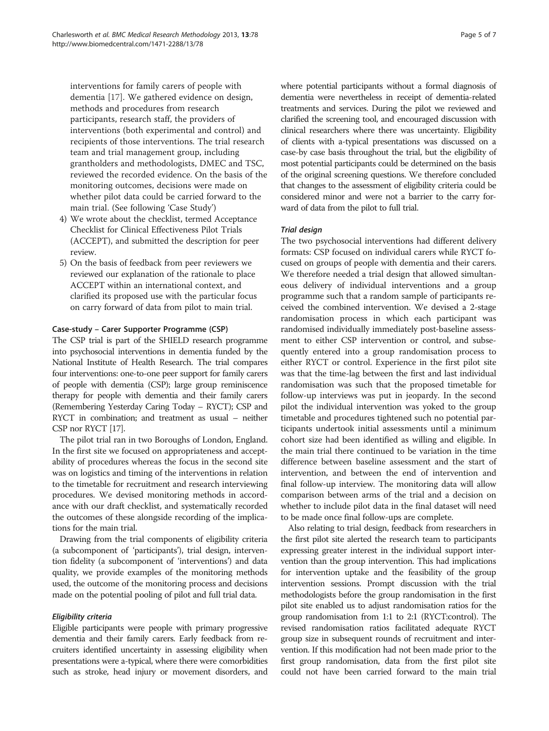interventions for family carers of people with dementia [\[17](#page-6-0)]. We gathered evidence on design, methods and procedures from research participants, research staff, the providers of interventions (both experimental and control) and recipients of those interventions. The trial research team and trial management group, including grantholders and methodologists, DMEC and TSC, reviewed the recorded evidence. On the basis of the monitoring outcomes, decisions were made on whether pilot data could be carried forward to the main trial. (See following 'Case Study')

- 4) We wrote about the checklist, termed Acceptance Checklist for Clinical Effectiveness Pilot Trials (ACCEPT), and submitted the description for peer review.
- 5) On the basis of feedback from peer reviewers we reviewed our explanation of the rationale to place ACCEPT within an international context, and clarified its proposed use with the particular focus on carry forward of data from pilot to main trial.

# Case-study – Carer Supporter Programme (CSP)

The CSP trial is part of the SHIELD research programme into psychosocial interventions in dementia funded by the National Institute of Health Research. The trial compares four interventions: one-to-one peer support for family carers of people with dementia (CSP); large group reminiscence therapy for people with dementia and their family carers (Remembering Yesterday Caring Today – RYCT); CSP and RYCT in combination; and treatment as usual – neither CSP nor RYCT [[17](#page-6-0)].

The pilot trial ran in two Boroughs of London, England. In the first site we focused on appropriateness and acceptability of procedures whereas the focus in the second site was on logistics and timing of the interventions in relation to the timetable for recruitment and research interviewing procedures. We devised monitoring methods in accordance with our draft checklist, and systematically recorded the outcomes of these alongside recording of the implications for the main trial.

Drawing from the trial components of eligibility criteria (a subcomponent of 'participants'), trial design, intervention fidelity (a subcomponent of 'interventions') and data quality, we provide examples of the monitoring methods used, the outcome of the monitoring process and decisions made on the potential pooling of pilot and full trial data.

### Eligibility criteria

Eligible participants were people with primary progressive dementia and their family carers. Early feedback from recruiters identified uncertainty in assessing eligibility when presentations were a-typical, where there were comorbidities such as stroke, head injury or movement disorders, and where potential participants without a formal diagnosis of dementia were nevertheless in receipt of dementia-related treatments and services. During the pilot we reviewed and clarified the screening tool, and encouraged discussion with clinical researchers where there was uncertainty. Eligibility of clients with a-typical presentations was discussed on a case-by case basis throughout the trial, but the eligibility of most potential participants could be determined on the basis of the original screening questions. We therefore concluded that changes to the assessment of eligibility criteria could be considered minor and were not a barrier to the carry forward of data from the pilot to full trial.

# Trial design

The two psychosocial interventions had different delivery formats: CSP focused on individual carers while RYCT focused on groups of people with dementia and their carers. We therefore needed a trial design that allowed simultaneous delivery of individual interventions and a group programme such that a random sample of participants received the combined intervention. We devised a 2-stage randomisation process in which each participant was randomised individually immediately post-baseline assessment to either CSP intervention or control, and subsequently entered into a group randomisation process to either RYCT or control. Experience in the first pilot site was that the time-lag between the first and last individual randomisation was such that the proposed timetable for follow-up interviews was put in jeopardy. In the second pilot the individual intervention was yoked to the group timetable and procedures tightened such no potential participants undertook initial assessments until a minimum cohort size had been identified as willing and eligible. In the main trial there continued to be variation in the time difference between baseline assessment and the start of intervention, and between the end of intervention and final follow-up interview. The monitoring data will allow comparison between arms of the trial and a decision on whether to include pilot data in the final dataset will need to be made once final follow-ups are complete.

Also relating to trial design, feedback from researchers in the first pilot site alerted the research team to participants expressing greater interest in the individual support intervention than the group intervention. This had implications for intervention uptake and the feasibility of the group intervention sessions. Prompt discussion with the trial methodologists before the group randomisation in the first pilot site enabled us to adjust randomisation ratios for the group randomisation from 1:1 to 2:1 (RYCT:control). The revised randomisation ratios facilitated adequate RYCT group size in subsequent rounds of recruitment and intervention. If this modification had not been made prior to the first group randomisation, data from the first pilot site could not have been carried forward to the main trial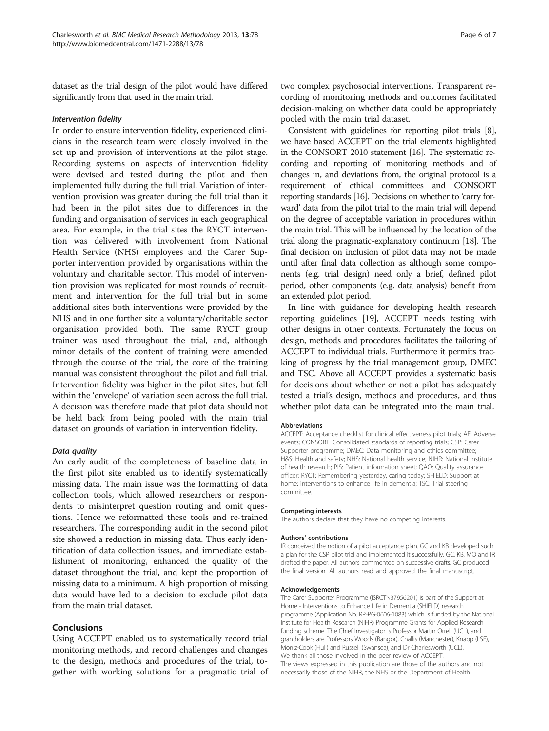dataset as the trial design of the pilot would have differed significantly from that used in the main trial.

# Intervention fidelity

In order to ensure intervention fidelity, experienced clinicians in the research team were closely involved in the set up and provision of interventions at the pilot stage. Recording systems on aspects of intervention fidelity were devised and tested during the pilot and then implemented fully during the full trial. Variation of intervention provision was greater during the full trial than it had been in the pilot sites due to differences in the funding and organisation of services in each geographical area. For example, in the trial sites the RYCT intervention was delivered with involvement from National Health Service (NHS) employees and the Carer Supporter intervention provided by organisations within the voluntary and charitable sector. This model of intervention provision was replicated for most rounds of recruitment and intervention for the full trial but in some additional sites both interventions were provided by the NHS and in one further site a voluntary/charitable sector organisation provided both. The same RYCT group trainer was used throughout the trial, and, although minor details of the content of training were amended through the course of the trial, the core of the training manual was consistent throughout the pilot and full trial. Intervention fidelity was higher in the pilot sites, but fell within the 'envelope' of variation seen across the full trial. A decision was therefore made that pilot data should not be held back from being pooled with the main trial dataset on grounds of variation in intervention fidelity.

# Data quality

An early audit of the completeness of baseline data in the first pilot site enabled us to identify systematically missing data. The main issue was the formatting of data collection tools, which allowed researchers or respondents to misinterpret question routing and omit questions. Hence we reformatted these tools and re-trained researchers. The corresponding audit in the second pilot site showed a reduction in missing data. Thus early identification of data collection issues, and immediate establishment of monitoring, enhanced the quality of the dataset throughout the trial, and kept the proportion of missing data to a minimum. A high proportion of missing data would have led to a decision to exclude pilot data from the main trial dataset.

# Conclusions

Using ACCEPT enabled us to systematically record trial monitoring methods, and record challenges and changes to the design, methods and procedures of the trial, together with working solutions for a pragmatic trial of two complex psychosocial interventions. Transparent recording of monitoring methods and outcomes facilitated decision-making on whether data could be appropriately pooled with the main trial dataset.

Consistent with guidelines for reporting pilot trials [[8](#page-6-0)], we have based ACCEPT on the trial elements highlighted in the CONSORT 2010 statement [\[16](#page-6-0)]. The systematic recording and reporting of monitoring methods and of changes in, and deviations from, the original protocol is a requirement of ethical committees and CONSORT reporting standards [\[16\]](#page-6-0). Decisions on whether to 'carry forward' data from the pilot trial to the main trial will depend on the degree of acceptable variation in procedures within the main trial. This will be influenced by the location of the trial along the pragmatic-explanatory continuum [\[18](#page-6-0)]. The final decision on inclusion of pilot data may not be made until after final data collection as although some components (e.g. trial design) need only a brief, defined pilot period, other components (e.g. data analysis) benefit from an extended pilot period.

In line with guidance for developing health research reporting guidelines [\[19](#page-6-0)], ACCEPT needs testing with other designs in other contexts. Fortunately the focus on design, methods and procedures facilitates the tailoring of ACCEPT to individual trials. Furthermore it permits tracking of progress by the trial management group, DMEC and TSC. Above all ACCEPT provides a systematic basis for decisions about whether or not a pilot has adequately tested a trial's design, methods and procedures, and thus whether pilot data can be integrated into the main trial.

#### Abbreviations

ACCEPT: Acceptance checklist for clinical effectiveness pilot trials; AE: Adverse events; CONSORT: Consolidated standards of reporting trials; CSP: Carer Supporter programme; DMEC: Data monitoring and ethics committee; H&S: Health and safety; NHS: National health service; NIHR: National institute of health research; PIS: Patient information sheet; QAO: Quality assurance officer; RYCT: Remembering yesterday, caring today; SHIELD: Support at home: interventions to enhance life in dementia; TSC: Trial steering committee.

#### Competing interests

The authors declare that they have no competing interests.

#### Authors' contributions

IR conceived the notion of a pilot acceptance plan. GC and KB developed such a plan for the CSP pilot trial and implemented it successfully. GC, KB, MO and IR drafted the paper. All authors commented on successive drafts. GC produced the final version. All authors read and approved the final manuscript.

#### Acknowledgements

The Carer Supporter Programme (ISRCTN37956201) is part of the Support at Home - Interventions to Enhance Life in Dementia (SHIELD) research programme (Application No. RP-PG-0606-1083) which is funded by the National Institute for Health Research (NIHR) Programme Grants for Applied Research funding scheme. The Chief Investigator is Professor Martin Orrell (UCL), and grantholders are Professors Woods (Bangor), Challis (Manchester), Knapp (LSE), Moniz-Cook (Hull) and Russell (Swansea), and Dr Charlesworth (UCL). We thank all those involved in the peer review of ACCEPT. The views expressed in this publication are those of the authors and not necessarily those of the NIHR, the NHS or the Department of Health.